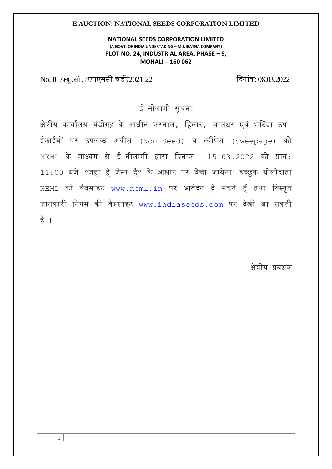#### **NATIONAL SEEDS CORPORATION LIMITED (A GOVT. OF INDIA UNDERTAKING – MINIRATNA COMPANY) PLOT NO. 24, INDUSTRIAL AREA, PHASE – 9, MOHALI – 160 062**

No. III /क्यू.सी. /एनएससी-चंडी/2021-22 दिनांक: 08.03.2022

# ई-नीलामी सूचना

क्षेत्रीय कार्यालय चंडीगढ़ के आधीन करनाल, हिसार, जालंधर एवं भटिंडा उप-ईक ईयों पर उपलब्ध अबीज़ (Non-Seed) व स्वीपेज (Sweepage) को  $NEML$  के माध्यम से ई-नीलामी द्वारा दिनांक  $15.03.2022$  को प्रात:  $11:00$  बजे "जहां है जैसा है" के आधार पर बेचा जायेगा। इच्छुक बोलीदाता  $NEML$  की वैबसाइट www.neml.in पर आवेदन दे सकते हैं तथा विस्तृत जानकारी निगम की वैबसाइट www.[indiaseeds](http://www.indiaseeds.com/).com पर देखी जा सकती िै ।

क्षेत्रीय प्रबंधक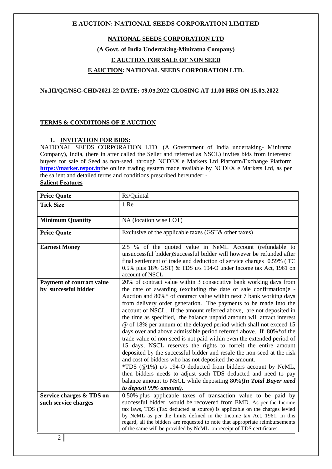#### **NATIONAL SEEDS CORPORATION LTD**

#### **(A Govt. of India Undertaking-Miniratna Company)**

#### **E AUCTION FOR SALE OF NON SEED**

#### **E AUCTION: NATIONAL SEEDS CORPORATION LTD.**

#### **No.III/QC/NSC-CHD/2021-22 DATE: 09.03.2022 CLOSING AT 11.00 HRS ON 15.03.2022**

#### **TERMS & CONDITIONS OF E AUCTION**

#### **1. INVITATION FOR BIDS:**

NATIONAL SEEDS CORPORATION LTD (A Government of India undertaking- Miniratna Company), India, (here in after called the Seller and referred as NSCL) invites bids from interested buyers for sale of Seed as non-seed through NCDEX e Markets Ltd Platform/Exchange Platform **[https://market.nspot.in](https://market.nspot.in/)**the online trading system made available by NCDEX e Markets Ltd, as per the salient and detailed terms and conditions prescribed hereunder: - **Salient Features**

| <b>Price Quote</b>                                       | Rs/Quintal                                                                                                                                                                                                                                                                                                                                                                                                                                                                                                                                                                                                                                                                                                                                                                                                                                                                                                                                                                                                                                                                                    |
|----------------------------------------------------------|-----------------------------------------------------------------------------------------------------------------------------------------------------------------------------------------------------------------------------------------------------------------------------------------------------------------------------------------------------------------------------------------------------------------------------------------------------------------------------------------------------------------------------------------------------------------------------------------------------------------------------------------------------------------------------------------------------------------------------------------------------------------------------------------------------------------------------------------------------------------------------------------------------------------------------------------------------------------------------------------------------------------------------------------------------------------------------------------------|
| <b>Tick Size</b>                                         | 1 Re                                                                                                                                                                                                                                                                                                                                                                                                                                                                                                                                                                                                                                                                                                                                                                                                                                                                                                                                                                                                                                                                                          |
| <b>Minimum Quantity</b>                                  | NA (location wise LOT)                                                                                                                                                                                                                                                                                                                                                                                                                                                                                                                                                                                                                                                                                                                                                                                                                                                                                                                                                                                                                                                                        |
| <b>Price Quote</b>                                       | Exclusive of the applicable taxes (GST& other taxes)                                                                                                                                                                                                                                                                                                                                                                                                                                                                                                                                                                                                                                                                                                                                                                                                                                                                                                                                                                                                                                          |
| <b>Earnest Money</b>                                     | 2.5 % of the quoted value in NeML Account (refundable to<br>unsuccessful bidder)Successful bidder will however be refunded after<br>final settlement of trade and deduction of service charges 0.59% (TC<br>0.5% plus 18% GST) & TDS u/s 194-O under Income tax Act, 1961 on<br>account of NSCL                                                                                                                                                                                                                                                                                                                                                                                                                                                                                                                                                                                                                                                                                                                                                                                               |
| <b>Payment of contract value</b><br>by successful bidder | 20% of contract value within 3 consecutive bank working days from<br>the date of awarding (excluding the date of sale confirmation)e -<br>Auction and 80%* of contract value within next 7 bank working days<br>from delivery order generation. The payments to be made into the<br>account of NSCL. If the amount referred above, are not deposited in<br>the time as specified, the balance unpaid amount will attract interest<br>@ of 18% per annum of the delayed period which shall not exceed 15<br>days over and above admissible period referred above. If 80%*of the<br>trade value of non-seed is not paid within even the extended period of<br>15 days, NSCL reserves the rights to forfeit the entire amount<br>deposited by the successful bidder and resale the non-seed at the risk<br>and cost of bidders who has not deposited the amount.<br>*TDS (@1%) u/s 194-O deducted from bidders account by NeML,<br>then bidders needs to adjust such TDS deducted and need to pay<br>balance amount to NSCL while depositing 80% (In Total Buyer need<br>to deposit 99% amount). |
| Service charges & TDS on<br>such service charges         | 0.50% plus applicable taxes of transaction value to be paid by<br>successful bidder, would be recovered from EMD. As per the Income<br>tax laws, TDS (Tax deducted at source) is applicable on the charges levied<br>by NeML as per the limits defined in the Income tax Act, 1961. In this<br>regard, all the bidders are requested to note that appropriate reimbursements<br>of the same will be provided by NeML on receipt of TDS certificates.                                                                                                                                                                                                                                                                                                                                                                                                                                                                                                                                                                                                                                          |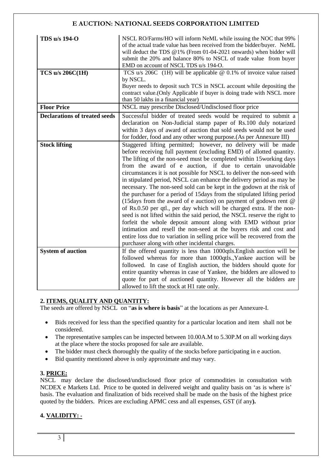| TDS u/s 194-O                        | NSCL RO/Farms/HO will inform NeML while issuing the NOC that 99%<br>of the actual trade value has been received from the bidder/buyer. NeML<br>will deduct the TDS $@1\%$ (From 01-04-2021 onwards) when bidder will<br>submit the 20% and balance 80% to NSCL of trade value from buyer<br>EMD on account of NSCL TDS u/s 194-O.                                                                                                                                                                                                                                                                                                                                                                                                                                                                                                                                                                                                                                                                                                                                               |  |
|--------------------------------------|---------------------------------------------------------------------------------------------------------------------------------------------------------------------------------------------------------------------------------------------------------------------------------------------------------------------------------------------------------------------------------------------------------------------------------------------------------------------------------------------------------------------------------------------------------------------------------------------------------------------------------------------------------------------------------------------------------------------------------------------------------------------------------------------------------------------------------------------------------------------------------------------------------------------------------------------------------------------------------------------------------------------------------------------------------------------------------|--|
| <b>TCS u/s 206C(1H)</b>              | TCS u/s $206C$ (1H) will be applicable @ 0.1% of invoice value raised                                                                                                                                                                                                                                                                                                                                                                                                                                                                                                                                                                                                                                                                                                                                                                                                                                                                                                                                                                                                           |  |
|                                      | by NSCL.<br>Buyer needs to deposit such TCS in NSCL account while depositing the<br>contract value. (Only Applicable if buyer is doing trade with NSCL more<br>than 50 lakhs in a financial year)                                                                                                                                                                                                                                                                                                                                                                                                                                                                                                                                                                                                                                                                                                                                                                                                                                                                               |  |
| <b>Floor Price</b>                   | NSCL may prescribe Disclosed/Undisclosed floor price                                                                                                                                                                                                                                                                                                                                                                                                                                                                                                                                                                                                                                                                                                                                                                                                                                                                                                                                                                                                                            |  |
| <b>Declarations of treated seeds</b> | Successful bidder of treated seeds would be required to submit a<br>declaration on Non-Judicial stamp paper of Rs.100 duly notarized<br>within 3 days of award of auction that sold seeds would not be used<br>for fodder, food and any other wrong purpose.(As per Annexure III)                                                                                                                                                                                                                                                                                                                                                                                                                                                                                                                                                                                                                                                                                                                                                                                               |  |
| <b>Stock lifting</b>                 | Staggered lifting permitted; however, no delivery will be made<br>before receiving full payment (excluding EMD) of allotted quantity.<br>The lifting of the non-seed must be completed within 15working days<br>from the award of e auction, if due to certain unavoidable<br>circumstances it is not possible for NSCL to deliver the non-seed with<br>in stipulated period, NSCL can enhance the delivery period as may be<br>necessary. The non-seed sold can be kept in the godown at the risk of<br>the purchaser for a period of 15 days from the stipulated lifting period<br>(15days from the award of e auction) on payment of godown rent @<br>of Rs.0.50 per qtl., per day which will be charged extra. If the non-<br>seed is not lifted within the said period, the NSCL reserve the right to<br>forfeit the whole deposit amount along with EMD without prior<br>intimation and resell the non-seed at the buyers risk and cost and<br>entire loss due to variation in selling price will be recovered from the<br>purchaser along with other incidental charges. |  |
| <b>System of auction</b>             | If the offered quantity is less than 1000qtls. English auction will be<br>followed whereas for more than 1000qtls., Yankee auction will be<br>followed. In case of English auction, the bidders should quote for<br>entire quantity whereas in case of Yankee, the bidders are allowed to<br>quote for part of auctioned quantity. However all the bidders are<br>allowed to lift the stock at H1 rate only.                                                                                                                                                                                                                                                                                                                                                                                                                                                                                                                                                                                                                                                                    |  |

## **2. ITEMS, QUALITY AND QUANTITY:**

The seeds are offered by NSCL on "**as is where is basis**" at the locations as per Annexure-I.

- Bids received for less than the specified quantity for a particular location and item shall not be considered.
- The representative samples can be inspected between 10.00A.M to 5.30P.M on all working days at the place where the stocks proposed for sale are available.
- The bidder must check thoroughly the quality of the stocks before participating in e auction.
- Bid quantity mentioned above is only approximate and may vary.

#### **3. PRICE:**

NSCL may declare the disclosed/undisclosed floor price of commodities in consultation with NCDEX e Markets Ltd. Price to be quoted in delivered weight and quality basis on 'as is where is' basis. The evaluation and finalization of bids received shall be made on the basis of the highest price quoted by the bidders. Prices are excluding APMC cess and all expenses, GST (if any**).**

## **4. VALIDITY: -**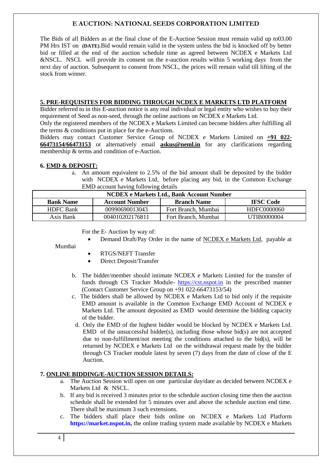The Bids of all Bidders as at the final close of the E-Auction Session must remain valid up to03.00 PM Hrs IST on **(DATE)**.Bid would remain valid in the system unless the bid is knocked off by better bid or filled at the end of the auction schedule time as agreed between NCDEX e Markets Ltd &NSCL. NSCL will provide its consent on the e-auction results within 5 working days from the next day of auction. Subsequent to consent from NSCL, the prices will remain valid till lifting of the stock from winner.

#### **5. PRE-REQUISITES FOR BIDDING THROUGH NCDEX E MARKETS LTD PLATFORM**

Bidder referred to in this E-auction notice is any real individual or legal entity who wishes to buy their requirement of Seed as non-seed, through the online auctions on NCDEX e Markets Ltd.

Only the registered members of the NCDEX e Markets Limited can become bidders after fulfilling all the terms & conditions put in place for the e-Auctions.

Bidders may contact Customer Service Group of NCDEX e Markets Limited on **+91 022- 66473154/66473153** or alternatively email **askus@neml.in** for any clarifications regarding membership & terms and condition of e-Auction.

#### **6. EMD & DEPOSIT:**

a. An amount equivalent to 2.5% of the bid amount shall be deposited by the bidder with NCDEX e Markets Ltd, before placing any bid, in the Common Exchange EMD account having following details

| <b>NCDEX</b> e Markets Ltd., Bank Account Number |                       |                     |                  |  |
|--------------------------------------------------|-----------------------|---------------------|------------------|--|
| <b>Bank Name</b>                                 | <b>Account Number</b> | <b>Branch Name</b>  | <b>IFSC Code</b> |  |
| <b>HDFC</b> Bank                                 | 00990690013043        | Fort Branch, Mumbai | HDFC0000060      |  |
| Axis Bank                                        | 004010202176811       | Fort Branch, Mumbai | UTIB0000004      |  |

For the E- Auction by way of:

Demand Draft/Pay Order in the name of NCDEX e Markets Ltd, payable at

#### Mumbai

- RTGS/NEFT Transfer
- Direct Deposit/Transfer
- b. The bidder/member should intimate NCDEX e Markets Limited for the transfer of funds through CS Tracker Module- [https://cst.nspot.in](https://cst.nspot.in/) in the prescribed manner (Contact Customer Service Group on +91 022-66473153/54)
- c. The bidders shall be allowed by NCDEX e Markets Ltd to bid only if the requisite EMD amount is available in the Common Exchange EMD Account of NCDEX e Markets Ltd. The amount deposited as EMD would determine the bidding capacity of the bidder.
- d. Only the EMD of the highest bidder would be blocked by NCDEX e Markets Ltd. EMD of the unsuccessful bidder(s), including those whose bid(s) are not accepted due to non-fulfillment/not meeting the conditions attached to the bid(s), will be returned by NCDEX e Markets Ltd on the withdrawal request made by the bidder through CS Tracker module latest by seven (7) days from the date of close of the E Auction.

#### **7. ONLINE BIDDING/E-AUCTION SESSION DETAILS:**

- a. The Auction Session will open on one particular day/date as decided between NCDEX e Markets Ltd & NSCL.
- b. If any bid is received 3 minutes prior to the schedule auction closing time then the auction schedule shall be extended for 5 minutes over and above the schedule auction end time. There shall be maximum 3 such extensions.
- c. The bidders shall place their bids online on NCDEX e Markets Ltd Platform **https://market.nspot.in,** the online trading system made available by NCDEX e Markets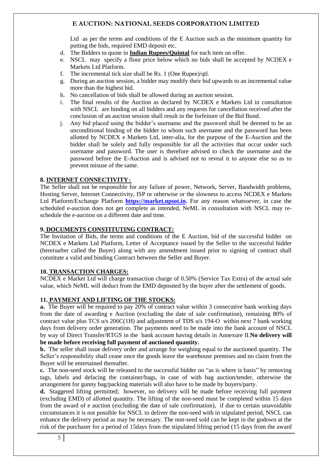Ltd as per the terms and conditions of the E Auction such as the minimum quantity for putting the bids, required EMD deposit etc.

- d. The Bidders to quote in **Indian Rupees/Quintal** for each item on offer.
- e. NSCL may specify a floor price below which no bids shall be accepted by NCDEX e Markets Ltd Platform.
- f. The incremental tick size shall be Rs. 1 (One Rupee)/qtl.
- g. During an auction session, a bidder may modify their bid upwards to an incremental value more than the highest bid.
- h. No cancellation of bids shall be allowed during an auction session.
- i. The final results of the Auction as declared by NCDEX e Markets Ltd in consultation with NSCL are binding on all bidders and any requests for cancellation received after the conclusion of an auction session shall result in the forfeiture of the Bid Bond.
- j. Any bid placed using the bidder's username and the password shall be deemed to be an unconditional binding of the bidder to whom such username and the password has been allotted by NCDEX e Markets Ltd, inter-alia, for the purpose of the E-Auction and the bidder shall be solely and fully responsible for all the activities that occur under such username and password. The user is therefore advised to check the username and the password before the E-Auction and is advised not to reveal it to anyone else so as to prevent misuse of the same.

#### **8. INTERNET CONNECTIVITY**:

The Seller shall not be responsible for any failure of power, Network, Server, Bandwidth problems, Hosting Server, Internet Connectivity, ISP or otherwise or the slowness to access NCDEX e Markets Ltd Platform/Exchange Platform **[https://market.npsot.in.](https://market.npsot.in/)** For any reason whatsoever, in case the scheduled e-auction does not get complete as intended, NeML in consultation with NSCL may reschedule the e-auction on a different date and time.

#### **9. DOCUMENTS CONSTITUTING CONTRACT:**

The Invitation of Bids, the terms and conditions of the E Auction, bid of the successful bidder on NCDEX e Markets Ltd Platform, Letter of Acceptance issued by the Seller to the successful bidder (hereinafter called the Buyer) along with any amendment issued prior to signing of contract shall constitute a valid and binding Contract between the Seller and Buyer.

#### **10. TRANSACTION CHARGES:**

NCDEX e Market Ltd will charge transaction charge of 0.50% (Service Tax Extra) of the actual sale value, which NeML will deduct from the EMD deposited by the buyer after the settlement of goods.

#### **11. PAYMENT AND LIFTING OF THE STOCKS:**

**a.** The Buyer will be required to pay 20% of contract value within 3 consecutive bank working days from the date of awarding e Auction (excluding the date of sale confirmation), remaining 80% of contract value plus TCS u/s 206C(1H) and adjustment of TDS u/s 194-O within next 7 bank working days from delivery order generation. The payments need to be made into the bank account of NSCL by way of Direct Transfer/RTGS in the bank account having details in Annexure II.**No delivery will be made before receiving full payment of auctioned quantity.**

**b.** The seller shall issue delivery order and arrange for weighing equal to the auctioned quantity. The Seller's responsibility shall cease once the goods leave the warehouse premises and no claim from the Buyer will be entertained thereafter.

**c.** The non-seed stock will be released to the successful bidder on "as is where is basis" by removing tags, labels and defacing the container/bags, in case of with bag auction/tender, otherwise the arrangement for gunny bag/packing materials will also have to be made by buyers/party.

**d.** Staggered lifting permitted; however, no delivery will be made before receiving full payment (excluding EMD) of allotted quantity. The lifting of the non-seed must be completed within 15 days from the award of e auction (excluding the date of sale confirmation), if due to certain unavoidable circumstances it is not possible for NSCL to deliver the non-seed with in stipulated period, NSCL can enhance the delivery period as may be necessary. The non-seed sold can be kept in the godown at the risk of the purchaser for a period of 15days from the stipulated lifting period (15 days from the award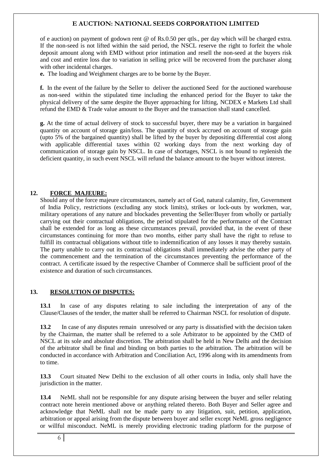of e auction) on payment of godown rent @ of Rs.0.50 per qtls., per day which will be charged extra. If the non-seed is not lifted within the said period, the NSCL reserve the right to forfeit the whole deposit amount along with EMD without prior intimation and resell the non-seed at the buyers risk and cost and entire loss due to variation in selling price will be recovered from the purchaser along with other incidental charges.

**e.** The loading and Weighment charges are to be borne by the Buyer.

**f.** In the event of the failure by the Seller to deliver the auctioned Seed for the auctioned warehouse as non-seed within the stipulated time including the enhanced period for the Buyer to take the physical delivery of the same despite the Buyer approaching for lifting, NCDEX e Markets Ltd shall refund the EMD & Trade value amount to the Buyer and the transaction shall stand cancelled.

**g.** At the time of actual delivery of stock to successful buyer, there may be a variation in bargained quantity on account of storage gain/loss. The quantity of stock accrued on account of storage gain (upto 5% of the bargained quantity) shall be lifted by the buyer by depositing differential cost along with applicable differential taxes within 02 working days from the next working day of communication of storage gain by NSCL. In case of shortages, NSCL is not bound to replenish the deficient quantity, in such event NSCL will refund the balance amount to the buyer without interest.

#### **12. FORCE MAJEURE:**

Should any of the force majeure circumstances, namely act of God, natural calamity, fire, Government of India Policy, restrictions (excluding any stock limits), strikes or lock-outs by workmen, war, military operations of any nature and blockades preventing the Seller/Buyer from wholly or partially carrying out their contractual obligations, the period stipulated for the performance of the Contract shall be extended for as long as these circumstances prevail, provided that, in the event of these circumstances continuing for more than two months, either party shall have the right to refuse to fulfill its contractual obligations without title to indemnification of any losses it may thereby sustain. The party unable to carry out its contractual obligations shall immediately advise the other party of the commencement and the termination of the circumstances preventing the performance of the contract. A certificate issued by the respective Chamber of Commerce shall be sufficient proof of the existence and duration of such circumstances.

#### **13. RESOLUTION OF DISPUTES:**

**13.1** In case of any disputes relating to sale including the interpretation of any of the Clause/Clauses of the tender, the matter shall be referred to Chairman NSCL for resolution of dispute.

**13.2** In case of any disputes remain unresolved or any party is dissatisfied with the decision taken by the Chairman, the matter shall be referred to a sole Arbitrator to be appointed by the CMD of NSCL at its sole and absolute discretion. The arbitration shall be held in New Delhi and the decision of the arbitrator shall be final and binding on both parties to the arbitration. The arbitration will be conducted in accordance with Arbitration and Conciliation Act, 1996 along with its amendments from to time.

**13.3** Court situated New Delhi to the exclusion of all other courts in India, only shall have the jurisdiction in the matter.

**13.4** NeML shall not be responsible for any dispute arising between the buyer and seller relating contract note herein mentioned above or anything related thereto. Both Buyer and Seller agree and acknowledge that NeML shall not be made party to any litigation, suit, petition, application, arbitration or appeal arising from the dispute between buyer and seller except NeML gross negligence or willful misconduct. NeML is merely providing electronic trading platform for the purpose of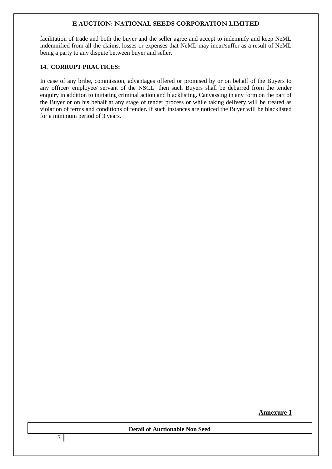facilitation of trade and both the buyer and the seller agree and accept to indemnify and keep NeML indemnified from all the claims, losses or expenses that NeML may incur/suffer as a result of NeML being a party to any dispute between buyer and seller.

#### **14. CORRUPT PRACTICES:**

In case of any bribe, commission, advantages offered or promised by or on behalf of the Buyers to any officer/ employee/ servant of the NSCL then such Buyers shall be debarred from the tender enquiry in addition to initiating criminal action and blacklisting. Canvassing in any form on the part of the Buyer or on his behalf at any stage of tender process or while taking delivery will be treated as violation of terms and conditions of tender. If such instances are noticed the Buyer will be blacklisted for a minimum period of 3 years.

**Annexure-I**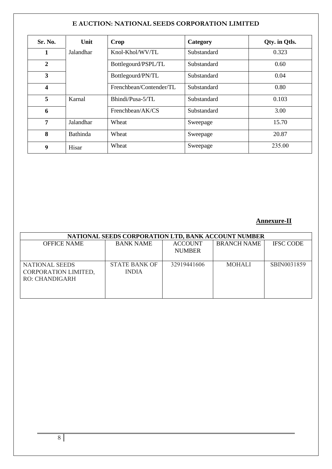| Sr. No.        | Unit      | Crop                    | Category    | Qty. in Qtls. |
|----------------|-----------|-------------------------|-------------|---------------|
| 1              | Jalandhar | Knol-Khol/WV/TL         | Substandard | 0.323         |
| $\overline{2}$ |           | Bottlegourd/PSPL/TL     | Substandard | 0.60          |
| 3              |           | Bottlegourd/PN/TL       | Substandard | 0.04          |
| 4              |           | Frenchbean/Contender/TL | Substandard | 0.80          |
| 5              | Karnal    | Bhindi/Pusa-5/TL        | Substandard | 0.103         |
| 6              |           | Frenchbean/AK/CS        | Substandard | 3.00          |
| 7              | Jalandhar | Wheat                   | Sweepage    | 15.70         |
| 8              | Bathinda  | Wheat                   | Sweepage    | 20.87         |
| 9              | Hisar     | Wheat                   | Sweepage    | 235.00        |

## **Annexure-II**

|                                                                        | NATIONAL SEEDS CORPORATION LTD, BANK ACCOUNT NUMBER |                                 |                    |                  |
|------------------------------------------------------------------------|-----------------------------------------------------|---------------------------------|--------------------|------------------|
| <b>OFFICE NAME</b>                                                     | <b>BANK NAME</b>                                    | <b>ACCOUNT</b><br><b>NUMBER</b> | <b>BRANCH NAME</b> | <b>IFSC CODE</b> |
| <b>NATIONAL SEEDS</b><br>CORPORATION LIMITED,<br><b>RO: CHANDIGARH</b> | <b>STATE BANK OF</b><br><b>INDIA</b>                | 32919441606                     | <b>MOHALI</b>      | SBIN0031859      |